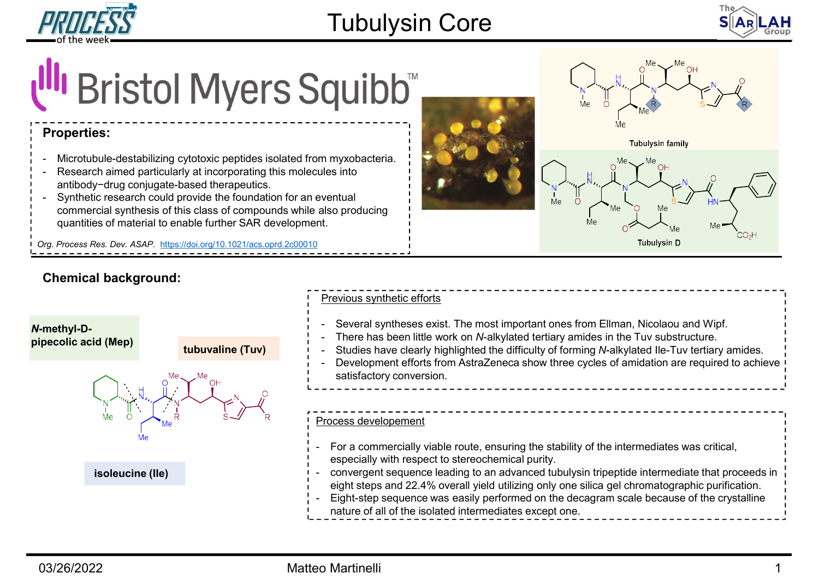



# Tubulysin Core<br>
of the week<br>
Microtubule-destabilizing cytotoxic pepti**des isolated from myxobacteria.**<br>
Nicrotubule-destabilizing cytotoxic peptides isolated from myxobacteria.<br>
- Research aimed particularly at incorpora FRICESS<br>
of the week<br> **COLOGY COLOGY CONTINUM CONTROVIDE SPONSITION**<br>
Properties:<br>
- Microtubule-destabilizing cytotoxic peptides isolated from myxobacteria.<br>
- Research aimetody-drug conjugate-based therapeutics.<br>
- Synth FRICESS<br>
of the week.<br> **Could provide the foundation for an example the foundation**<br> **Properties:**<br>
Microtubule-destabilizing cytotoxic peptides isolated from myxobacteria.<br>
- Research aimed particularly at incorporating t Chemical background:<br>
The methyl-D-<br>
Chemical background:<br>
Chemical background:<br>
Chemical background:<br>
Chemical background:<br>
Chemical background:<br>
Chemical background:<br>
Chemical background:<br>
There has been lift<br>
Chemical b

# Properties:

- 
- antibody−drug conjugate-based therapeutics.
- commercial synthesis of this class of compounds while also producing quantities of material to enable further SAR development.

Org. Process Res. Dev. ASAP. https://doi.org/10.1021/acs.oprd.2c00010







- 
- 
- 
- satisfactory conversion.

# Process developement

- especially with respect to stereochemical purity. natural exception of the intermediate of the intermediate intermediate intermediate intermediate intermediate intermediate intermediate intermediate intermediate intermediate intermediate intermediate intermediate intermed
- convergent sequence leading to an advanced tubulysin tripeptide intermediate that proceeds in eight steps and 22.4% overall yield utilizing only one silica gel chromatographic purification. - Eight-step sequence was easily performed on the decagram scale because of the crystalline
-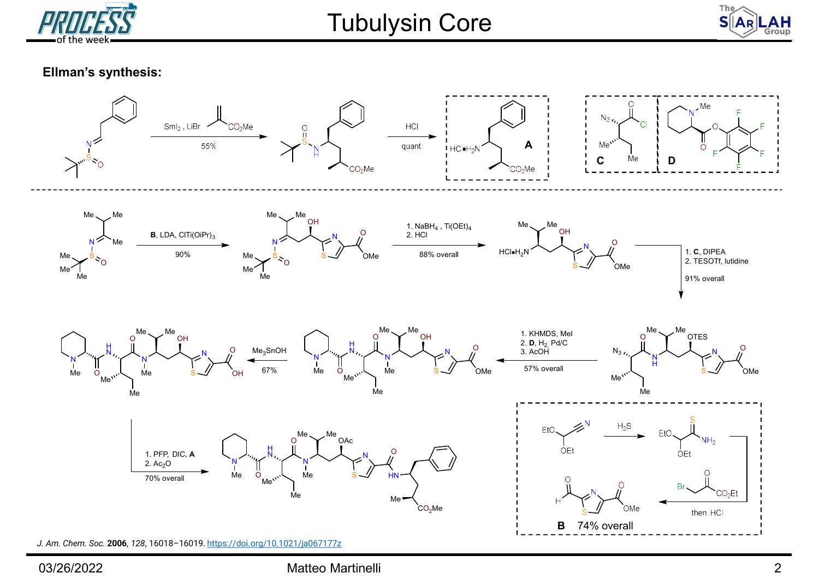



# Ellman's synthesis:

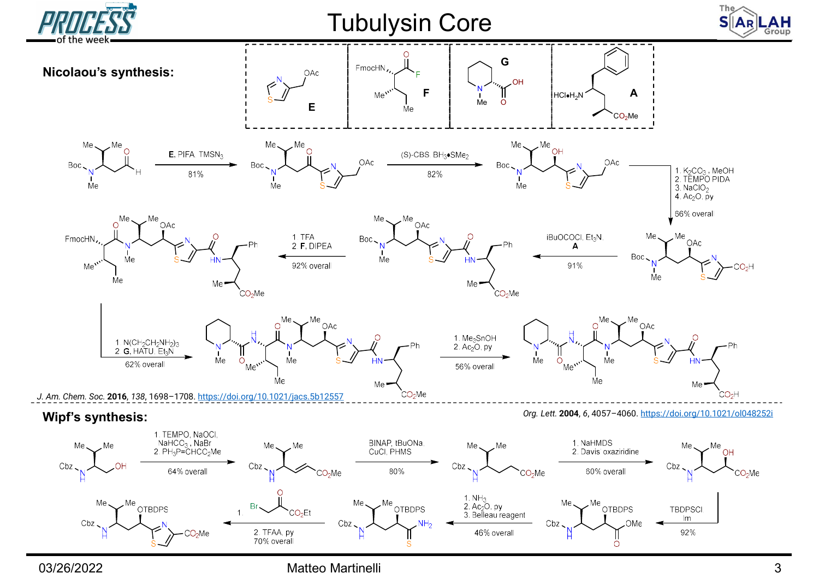

03/26/2022